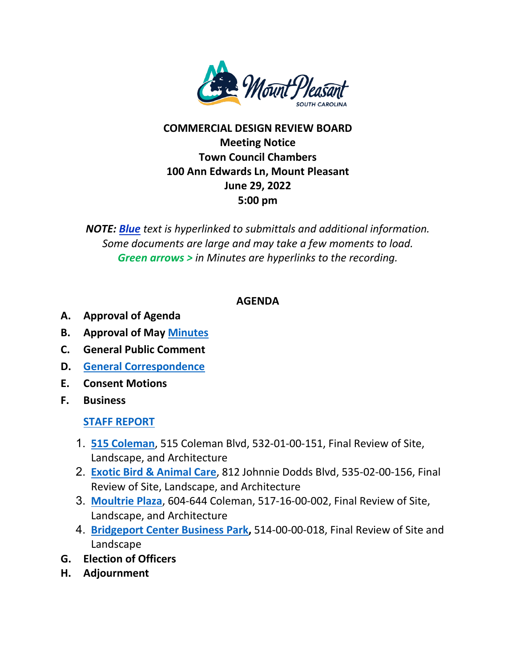

## **COMMERCIAL DESIGN REVIEW BOARD Meeting Notice Town Council Chambers 100 Ann Edwards Ln, Mount Pleasant June 29, 2022 5:00 pm**

*NOTE: Blue text is hyperlinked to submittals and additional information. Some documents are large and may take a few moments to load. Green arrows > in Minutes are hyperlinks to the recording.*

## **AGENDA**

- **A. Approval of Agenda**
- **B. Approval of May [Minutes](https://www.tompsc.com/DocumentCenter/View/42057/DRB-min-25-May-2022_exppdf)**
- **C. General Public Comment**
- **D. [General Correspondence](https://www.tompsc.com/DocumentCenter/View/42121/General-Correspondence-62922)**
- **E. Consent Motions**
- **F. Business**

## **[STAFF REPORT](https://www.tompsc.com/DocumentCenter/View/42046/Staff-Report-Placement-Holder)**

- 1. **[515 Coleman](https://www.tompsc.com/DocumentCenter/View/42041/515-Coleman-Sub-62922)**, 515 Coleman Blvd, 532-01-00-151, Final Review of Site, Landscape, and Architecture
- 2. **[Exotic Bird & Animal Care](https://www.tompsc.com/DocumentCenter/View/42042/Exotic-Bird-and-Animal-Sub-62922)**, 812 Johnnie Dodds Blvd, 535-02-00-156, Final Review of Site, Landscape, and Architecture
- 3. **[Moultrie Plaza](https://www.tompsc.com/DocumentCenter/View/42043/Moultrie-Plaza-Paint-Sub-62922)**, 604-644 Coleman, 517-16-00-002, Final Review of Site, Landscape, and Architecture
- 4. **[Bridgeport Center Business Park,](https://www.tompsc.com/DocumentCenter/View/41800/Bridgeport-Center)** 514-00-00-018, Final Review of Site and Landscape
- **G. Election of Officers**
- **H. Adjournment**